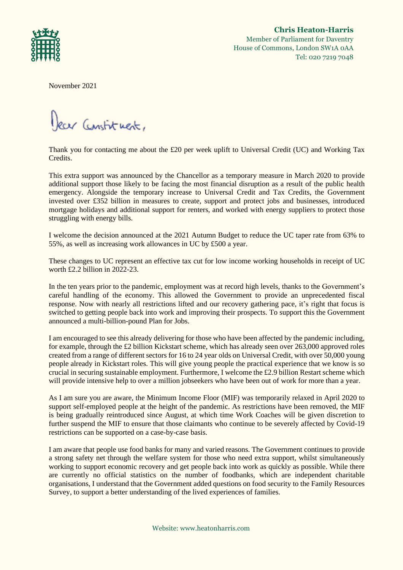

**Chris Heaton-Harris** Member of Parliament for Daventry House of Commons, London SW1A 0AA Tel: 020 7219 7048

November 2021

Dear Constituent,

Thank you for contacting me about the £20 per week uplift to Universal Credit (UC) and Working Tax Credits.

This extra support was announced by the Chancellor as a temporary measure in March 2020 to provide additional support those likely to be facing the most financial disruption as a result of the public health emergency. Alongside the temporary increase to Universal Credit and Tax Credits, the Government invested over £352 billion in measures to create, support and protect jobs and businesses, introduced mortgage holidays and additional support for renters, and worked with energy suppliers to protect those struggling with energy bills.

I welcome the decision announced at the 2021 Autumn Budget to reduce the UC taper rate from 63% to 55%, as well as increasing work allowances in UC by £500 a year.

These changes to UC represent an effective tax cut for low income working households in receipt of UC worth £2.2 billion in 2022-23.

In the ten years prior to the pandemic, employment was at record high levels, thanks to the Government's careful handling of the economy. This allowed the Government to provide an unprecedented fiscal response. Now with nearly all restrictions lifted and our recovery gathering pace, it's right that focus is switched to getting people back into work and improving their prospects. To support this the Government announced a multi-billion-pound Plan for Jobs.

I am encouraged to see this already delivering for those who have been affected by the pandemic including, for example, through the £2 billion Kickstart scheme, which has already seen over 263,000 approved roles created from a range of different sectors for 16 to 24 year olds on Universal Credit, with over 50,000 young people already in Kickstart roles. This will give young people the practical experience that we know is so crucial in securing sustainable employment. Furthermore, I welcome the £2.9 billion Restart scheme which will provide intensive help to over a million jobseekers who have been out of work for more than a year.

As I am sure you are aware, the Minimum Income Floor (MIF) was temporarily relaxed in April 2020 to support self-employed people at the height of the pandemic. As restrictions have been removed, the MIF is being gradually reintroduced since August, at which time Work Coaches will be given discretion to further suspend the MIF to ensure that those claimants who continue to be severely affected by Covid-19 restrictions can be supported on a case-by-case basis.

I am aware that people use food banks for many and varied reasons. The Government continues to provide a strong safety net through the welfare system for those who need extra support, whilst simultaneously working to support economic recovery and get people back into work as quickly as possible. While there are currently no official statistics on the number of foodbanks, which are independent charitable organisations, I understand that the Government added questions on food security to the Family Resources Survey, to support a better understanding of the lived experiences of families.